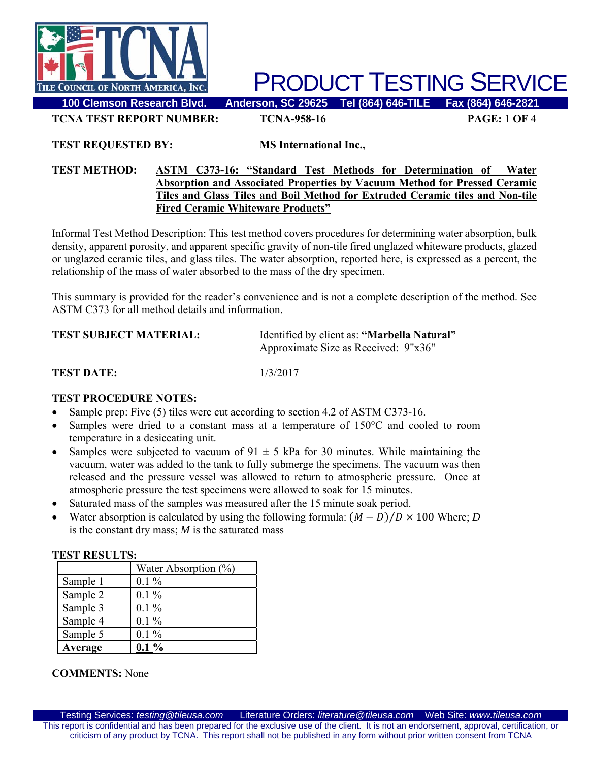

**100 Clemson Research Blvd. Anderson, SC 29625 Tel (864) 646-TILE Fax (864) 646-2821** 

**TCNA TEST REPORT NUMBER: TCNA-958-16 PAGE:** 1 **OF** 4

**TEST REQUESTED BY: MS International Inc.,**

#### **TEST METHOD: ASTM C373-16: "Standard Test Methods for Determination of Water Absorption and Associated Properties by Vacuum Method for Pressed Ceramic Tiles and Glass Tiles and Boil Method for Extruded Ceramic tiles and Non-tile Fired Ceramic Whiteware Products"**

Informal Test Method Description: This test method covers procedures for determining water absorption, bulk density, apparent porosity, and apparent specific gravity of non-tile fired unglazed whiteware products, glazed or unglazed ceramic tiles, and glass tiles. The water absorption, reported here, is expressed as a percent, the relationship of the mass of water absorbed to the mass of the dry specimen.

This summary is provided for the reader's convenience and is not a complete description of the method. See ASTM C373 for all method details and information.

| <b>TEST SUBJECT MATERIAL:</b> | Identified by client as: "Marbella Natural" |
|-------------------------------|---------------------------------------------|
|                               | Approximate Size as Received: 9"x36"        |
|                               |                                             |

#### **TEST DATE:** 1/3/2017

#### **TEST PROCEDURE NOTES:**

- Sample prep: Five (5) tiles were cut according to section 4.2 of ASTM C373-16.
- Samples were dried to a constant mass at a temperature of 150°C and cooled to room temperature in a desiccating unit.
- Samples were subjected to vacuum of  $91 \pm 5$  kPa for 30 minutes. While maintaining the vacuum, water was added to the tank to fully submerge the specimens. The vacuum was then released and the pressure vessel was allowed to return to atmospheric pressure. Once at atmospheric pressure the test specimens were allowed to soak for 15 minutes.
- Saturated mass of the samples was measured after the 15 minute soak period.
- Water absorption is calculated by using the following formula:  $(M D)/D \times 100$  Where; *D* is the constant dry mass; *M* is the saturated mass

| .        |                         |  |  |
|----------|-------------------------|--|--|
|          | Water Absorption $(\%)$ |  |  |
| Sample 1 | $0.1\%$                 |  |  |
| Sample 2 | $0.1\%$                 |  |  |
| Sample 3 | $0.1\%$                 |  |  |
| Sample 4 | $0.1\%$                 |  |  |
| Sample 5 | $0.1\%$                 |  |  |
| Average  | $0.1\%$                 |  |  |

#### **TEST RESULTS:**

#### **COMMENTS:** None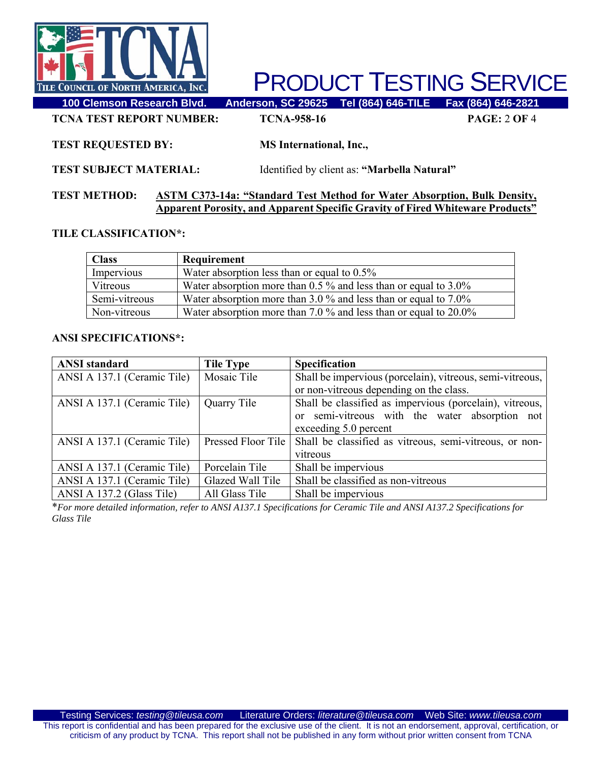

**100 Clemson Research Blvd. Anderson, SC 29625 Tel (864) 646-TILE Fax (864) 646-2821 TCNA TEST REPORT NUMBER: TCNA-958-16 PAGE:** 2 **OF** 4

#### **TEST REQUESTED BY: MS International, Inc.,**

**TEST SUBJECT MATERIAL:** Identified by client as: **"Marbella Natural"** 

#### **TEST METHOD: ASTM C373-14a: "Standard Test Method for Water Absorption, Bulk Density, Apparent Porosity, and Apparent Specific Gravity of Fired Whiteware Products"**

#### **TILE CLASSIFICATION\*:**

| <b>Class</b>  | Requirement                                                          |
|---------------|----------------------------------------------------------------------|
| Impervious    | Water absorption less than or equal to $0.5\%$                       |
| Vitreous      | Water absorption more than $0.5\%$ and less than or equal to $3.0\%$ |
| Semi-vitreous | Water absorption more than $3.0\%$ and less than or equal to $7.0\%$ |
| Non-vitreous  | Water absorption more than 7.0 $\%$ and less than or equal to 20.0%  |

#### **ANSI SPECIFICATIONS\*:**

| <b>ANSI</b> standard        | <b>Tile Type</b>   | <b>Specification</b>                                      |
|-----------------------------|--------------------|-----------------------------------------------------------|
| ANSI A 137.1 (Ceramic Tile) | Mosaic Tile        | Shall be impervious (porcelain), vitreous, semi-vitreous, |
|                             |                    | or non-vitreous depending on the class.                   |
| ANSI A 137.1 (Ceramic Tile) | Quarry Tile        | Shall be classified as impervious (porcelain), vitreous,  |
|                             |                    | or semi-vitreous with the water absorption not            |
|                             |                    | exceeding 5.0 percent                                     |
| ANSI A 137.1 (Ceramic Tile) | Pressed Floor Tile | Shall be classified as vitreous, semi-vitreous, or non-   |
|                             |                    | vitreous                                                  |
| ANSI A 137.1 (Ceramic Tile) | Porcelain Tile     | Shall be impervious                                       |
| ANSI A 137.1 (Ceramic Tile) | Glazed Wall Tile   | Shall be classified as non-vitreous                       |
| ANSI A 137.2 (Glass Tile)   | All Glass Tile     | Shall be impervious                                       |

\**For more detailed information, refer to ANSI A137.1 Specifications for Ceramic Tile and ANSI A137.2 Specifications for Glass Tile*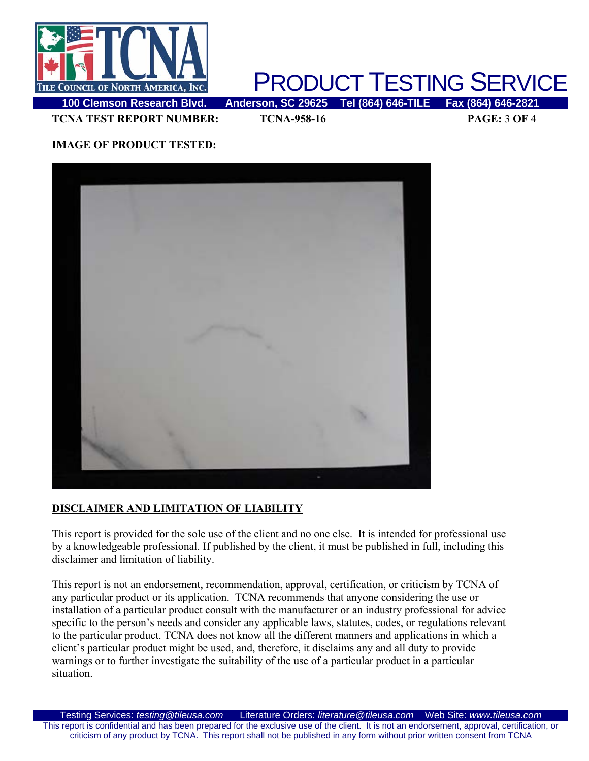

**TCNA TEST REPORT NUMBER: TCNA-958-16 PAGE:** 3 **OF** 4

### **IMAGE OF PRODUCT TESTED:**



#### **DISCLAIMER AND LIMITATION OF LIABILITY**

This report is provided for the sole use of the client and no one else. It is intended for professional use by a knowledgeable professional. If published by the client, it must be published in full, including this disclaimer and limitation of liability.

This report is not an endorsement, recommendation, approval, certification, or criticism by TCNA of any particular product or its application. TCNA recommends that anyone considering the use or installation of a particular product consult with the manufacturer or an industry professional for advice specific to the person's needs and consider any applicable laws, statutes, codes, or regulations relevant to the particular product. TCNA does not know all the different manners and applications in which a client's particular product might be used, and, therefore, it disclaims any and all duty to provide warnings or to further investigate the suitability of the use of a particular product in a particular situation.